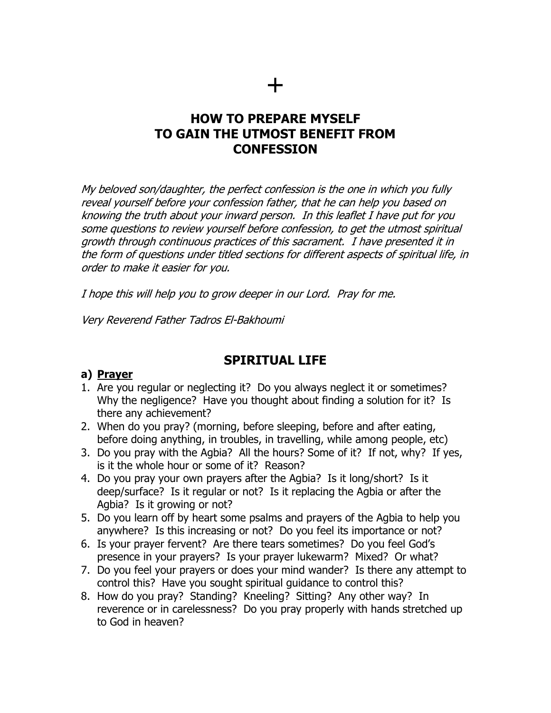## **HOW TO PREPARE MYSELF TO GAIN THE UTMOST BENEFIT FROM CONFESSION**

My beloved son/daughter, the perfect confession is the one in which you fully reveal yourself before your confession father, that he can help you based on knowing the truth about your inward person. In this leaflet I have put for you some questions to review yourself before confession, to get the utmost spiritual growth through continuous practices of this sacrament. I have presented it in the form of questions under titled sections for different aspects of spiritual life, in order to make it easier for you.

I hope this will help you to grow deeper in our Lord. Pray for me.

Very Reverend Father Tadros El-Bakhoumi

# **SPIRITUAL LIFE**

#### **a) Prayer**

- 1. Are you regular or neglecting it? Do you always neglect it or sometimes? Why the negligence? Have you thought about finding a solution for it? Is there any achievement?
- 2. When do you pray? (morning, before sleeping, before and after eating, before doing anything, in troubles, in travelling, while among people, etc)
- 3. Do you pray with the Agbia? All the hours? Some of it? If not, why? If yes, is it the whole hour or some of it? Reason?
- 4. Do you pray your own prayers after the Agbia? Is it long/short? Is it deep/surface? Is it regular or not? Is it replacing the Agbia or after the Agbia? Is it growing or not?
- 5. Do you learn off by heart some psalms and prayers of the Agbia to help you anywhere? Is this increasing or not? Do you feel its importance or not?
- 6. Is your prayer fervent? Are there tears sometimes? Do you feel God's presence in your prayers? Is your prayer lukewarm? Mixed? Or what?
- 7. Do you feel your prayers or does your mind wander? Is there any attempt to control this? Have you sought spiritual guidance to control this?
- 8. How do you pray? Standing? Kneeling? Sitting? Any other way? In reverence or in carelessness? Do you pray properly with hands stretched up to God in heaven?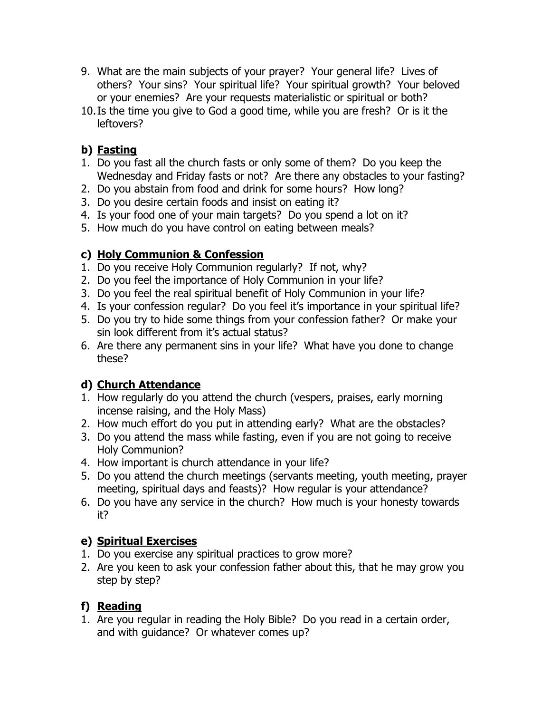- 9. What are the main subjects of your prayer? Your general life? Lives of others? Your sins? Your spiritual life? Your spiritual growth? Your beloved or your enemies? Are your requests materialistic or spiritual or both?
- 10.Is the time you give to God a good time, while you are fresh? Or is it the leftovers?

## **b) Fasting**

- 1. Do you fast all the church fasts or only some of them? Do you keep the Wednesday and Friday fasts or not? Are there any obstacles to your fasting?
- 2. Do you abstain from food and drink for some hours? How long?
- 3. Do you desire certain foods and insist on eating it?
- 4. Is your food one of your main targets? Do you spend a lot on it?
- 5. How much do you have control on eating between meals?

## **c) Holy Communion & Confession**

- 1. Do you receive Holy Communion regularly? If not, why?
- 2. Do you feel the importance of Holy Communion in your life?
- 3. Do you feel the real spiritual benefit of Holy Communion in your life?
- 4. Is your confession regular? Do you feel it's importance in your spiritual life?
- 5. Do you try to hide some things from your confession father? Or make your sin look different from it's actual status?
- 6. Are there any permanent sins in your life? What have you done to change these?

# **d) Church Attendance**

- 1. How regularly do you attend the church (vespers, praises, early morning incense raising, and the Holy Mass)
- 2. How much effort do you put in attending early? What are the obstacles?
- 3. Do you attend the mass while fasting, even if you are not going to receive Holy Communion?
- 4. How important is church attendance in your life?
- 5. Do you attend the church meetings (servants meeting, youth meeting, prayer meeting, spiritual days and feasts)? How regular is your attendance?
- 6. Do you have any service in the church? How much is your honesty towards it?

# **e) Spiritual Exercises**

- 1. Do you exercise any spiritual practices to grow more?
- 2. Are you keen to ask your confession father about this, that he may grow you step by step?

# **f) Reading**

1. Are you regular in reading the Holy Bible? Do you read in a certain order, and with guidance? Or whatever comes up?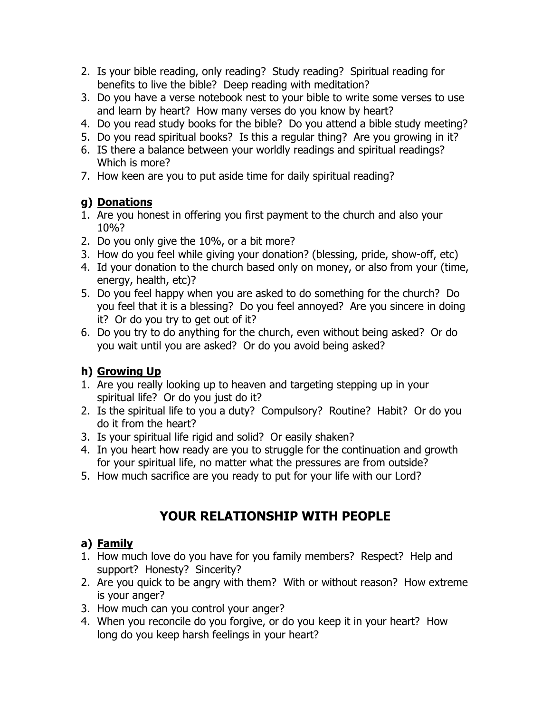- 2. Is your bible reading, only reading? Study reading? Spiritual reading for benefits to live the bible? Deep reading with meditation?
- 3. Do you have a verse notebook nest to your bible to write some verses to use and learn by heart? How many verses do you know by heart?
- 4. Do you read study books for the bible? Do you attend a bible study meeting?
- 5. Do you read spiritual books? Is this a regular thing? Are you growing in it?
- 6. IS there a balance between your worldly readings and spiritual readings? Which is more?
- 7. How keen are you to put aside time for daily spiritual reading?

# **g) Donations**

- 1. Are you honest in offering you first payment to the church and also your 10%?
- 2. Do you only give the 10%, or a bit more?
- 3. How do you feel while giving your donation? (blessing, pride, show-off, etc)
- 4. Id your donation to the church based only on money, or also from your (time, energy, health, etc)?
- 5. Do you feel happy when you are asked to do something for the church? Do you feel that it is a blessing? Do you feel annoyed? Are you sincere in doing it? Or do you try to get out of it?
- 6. Do you try to do anything for the church, even without being asked? Or do you wait until you are asked? Or do you avoid being asked?

# **h) Growing Up**

- 1. Are you really looking up to heaven and targeting stepping up in your spiritual life? Or do you just do it?
- 2. Is the spiritual life to you a duty? Compulsory? Routine? Habit? Or do you do it from the heart?
- 3. Is your spiritual life rigid and solid? Or easily shaken?
- 4. In you heart how ready are you to struggle for the continuation and growth for your spiritual life, no matter what the pressures are from outside?
- 5. How much sacrifice are you ready to put for your life with our Lord?

# **YOUR RELATIONSHIP WITH PEOPLE**

# **a) Family**

- 1. How much love do you have for you family members? Respect? Help and support? Honesty? Sincerity?
- 2. Are you quick to be angry with them? With or without reason? How extreme is your anger?
- 3. How much can you control your anger?
- 4. When you reconcile do you forgive, or do you keep it in your heart? How long do you keep harsh feelings in your heart?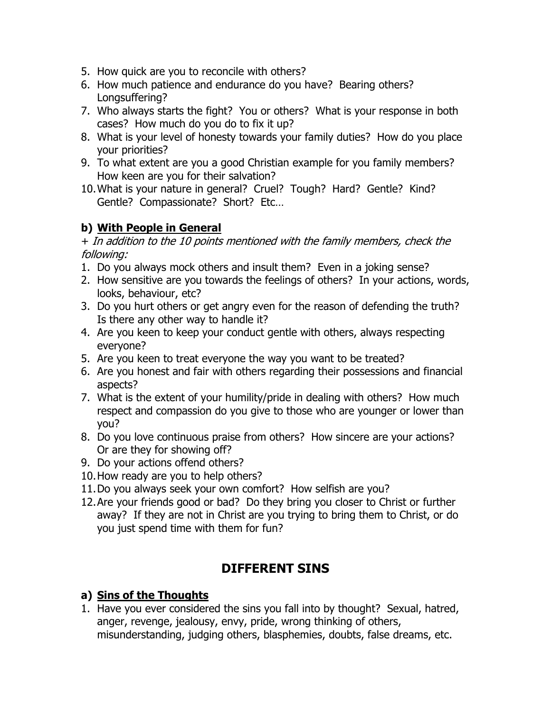- 5. How quick are you to reconcile with others?
- 6. How much patience and endurance do you have? Bearing others? Longsuffering?
- 7. Who always starts the fight? You or others? What is your response in both cases? How much do you do to fix it up?
- 8. What is your level of honesty towards your family duties? How do you place your priorities?
- 9. To what extent are you a good Christian example for you family members? How keen are you for their salvation?
- 10.What is your nature in general? Cruel? Tough? Hard? Gentle? Kind? Gentle? Compassionate? Short? Etc…

### **b) With People in General**

+ In addition to the 10 points mentioned with the family members, check the following:

- 1. Do you always mock others and insult them? Even in a joking sense?
- 2. How sensitive are you towards the feelings of others? In your actions, words, looks, behaviour, etc?
- 3. Do you hurt others or get angry even for the reason of defending the truth? Is there any other way to handle it?
- 4. Are you keen to keep your conduct gentle with others, always respecting everyone?
- 5. Are you keen to treat everyone the way you want to be treated?
- 6. Are you honest and fair with others regarding their possessions and financial aspects?
- 7. What is the extent of your humility/pride in dealing with others? How much respect and compassion do you give to those who are younger or lower than you?
- 8. Do you love continuous praise from others? How sincere are your actions? Or are they for showing off?
- 9. Do your actions offend others?
- 10.How ready are you to help others?
- 11.Do you always seek your own comfort? How selfish are you?
- 12.Are your friends good or bad? Do they bring you closer to Christ or further away? If they are not in Christ are you trying to bring them to Christ, or do you just spend time with them for fun?

# **DIFFERENT SINS**

### **a) Sins of the Thoughts**

1. Have you ever considered the sins you fall into by thought? Sexual, hatred, anger, revenge, jealousy, envy, pride, wrong thinking of others, misunderstanding, judging others, blasphemies, doubts, false dreams, etc.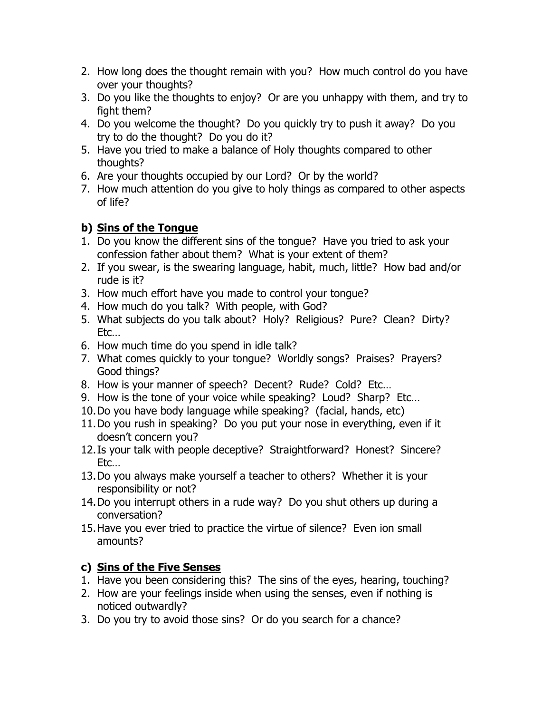- 2. How long does the thought remain with you? How much control do you have over your thoughts?
- 3. Do you like the thoughts to enjoy? Or are you unhappy with them, and try to fight them?
- 4. Do you welcome the thought? Do you quickly try to push it away? Do you try to do the thought? Do you do it?
- 5. Have you tried to make a balance of Holy thoughts compared to other thoughts?
- 6. Are your thoughts occupied by our Lord? Or by the world?
- 7. How much attention do you give to holy things as compared to other aspects of life?

## **b) Sins of the Tongue**

- 1. Do you know the different sins of the tongue? Have you tried to ask your confession father about them? What is your extent of them?
- 2. If you swear, is the swearing language, habit, much, little? How bad and/or rude is it?
- 3. How much effort have you made to control your tongue?
- 4. How much do you talk? With people, with God?
- 5. What subjects do you talk about? Holy? Religious? Pure? Clean? Dirty? Etc…
- 6. How much time do you spend in idle talk?
- 7. What comes quickly to your tongue? Worldly songs? Praises? Prayers? Good things?
- 8. How is your manner of speech? Decent? Rude? Cold? Etc…
- 9. How is the tone of your voice while speaking? Loud? Sharp? Etc…
- 10.Do you have body language while speaking? (facial, hands, etc)
- 11.Do you rush in speaking? Do you put your nose in everything, even if it doesn't concern you?
- 12.Is your talk with people deceptive? Straightforward? Honest? Sincere? Etc…
- 13.Do you always make yourself a teacher to others? Whether it is your responsibility or not?
- 14.Do you interrupt others in a rude way? Do you shut others up during a conversation?
- 15.Have you ever tried to practice the virtue of silence? Even ion small amounts?

## **c) Sins of the Five Senses**

- 1. Have you been considering this? The sins of the eyes, hearing, touching?
- 2. How are your feelings inside when using the senses, even if nothing is noticed outwardly?
- 3. Do you try to avoid those sins? Or do you search for a chance?